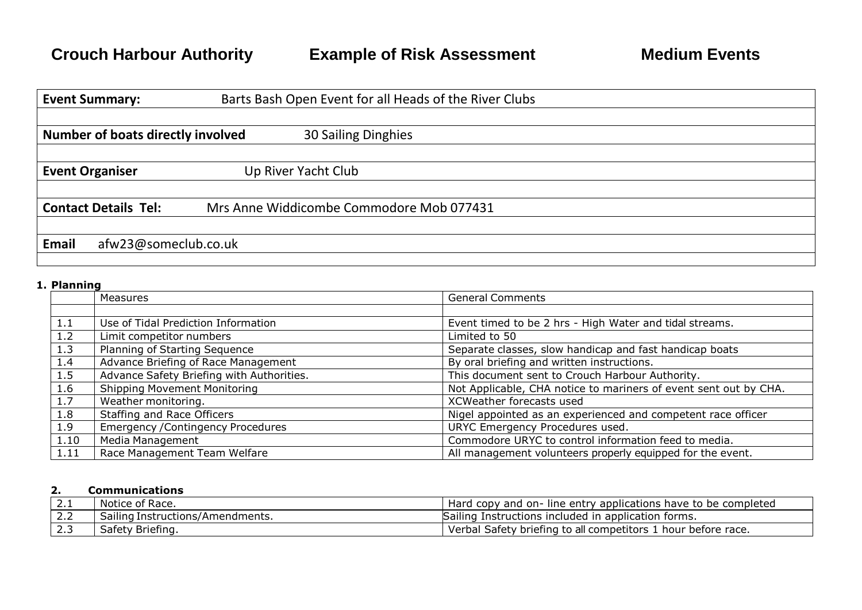| <b>Event Summary:</b>                    |                      | Barts Bash Open Event for all Heads of the River Clubs |  |  |
|------------------------------------------|----------------------|--------------------------------------------------------|--|--|
|                                          |                      |                                                        |  |  |
| <b>Number of boats directly involved</b> |                      | 30 Sailing Dinghies                                    |  |  |
|                                          |                      |                                                        |  |  |
| <b>Event Organiser</b>                   |                      | Up River Yacht Club                                    |  |  |
|                                          |                      |                                                        |  |  |
| <b>Contact Details Tel:</b>              |                      | Mrs Anne Widdicombe Commodore Mob 077431               |  |  |
|                                          |                      |                                                        |  |  |
| <b>Email</b>                             | afw23@someclub.co.uk |                                                        |  |  |
|                                          |                      |                                                        |  |  |

## **1. Planning**

|      | <b>Measures</b>                           | <b>General Comments</b>                                          |
|------|-------------------------------------------|------------------------------------------------------------------|
|      |                                           |                                                                  |
| 1.1  | Use of Tidal Prediction Information       | Event timed to be 2 hrs - High Water and tidal streams.          |
| 1.2  | Limit competitor numbers                  | Limited to 50                                                    |
| 1.3  | Planning of Starting Sequence             | Separate classes, slow handicap and fast handicap boats          |
| 1.4  | Advance Briefing of Race Management       | By oral briefing and written instructions.                       |
| 1.5  | Advance Safety Briefing with Authorities. | This document sent to Crouch Harbour Authority.                  |
| 1.6  | <b>Shipping Movement Monitoring</b>       | Not Applicable, CHA notice to mariners of event sent out by CHA. |
| 1.7  | Weather monitoring.                       | XCWeather forecasts used                                         |
| 1.8  | Staffing and Race Officers                | Nigel appointed as an experienced and competent race officer     |
| 1.9  | <b>Emergency / Contingency Procedures</b> | URYC Emergency Procedures used.                                  |
| 1.10 | Media Management                          | Commodore URYC to control information feed to media.             |
| 1.11 | Race Management Team Welfare              | All management volunteers properly equipped for the event.       |

## **2. Communications**

| <u> 2.I</u> | Notice of Race.                  | Hard<br>t copy and on- line entry applications have to be completed |
|-------------|----------------------------------|---------------------------------------------------------------------|
| ے ک         | Sailing Instructions/Amendments. | Instructions included in application forms.<br>Sailing              |
| ت ، ک       | Safety Briefing.                 | Nerbal Safety briefing to all competitors 1<br>. hour before race.  |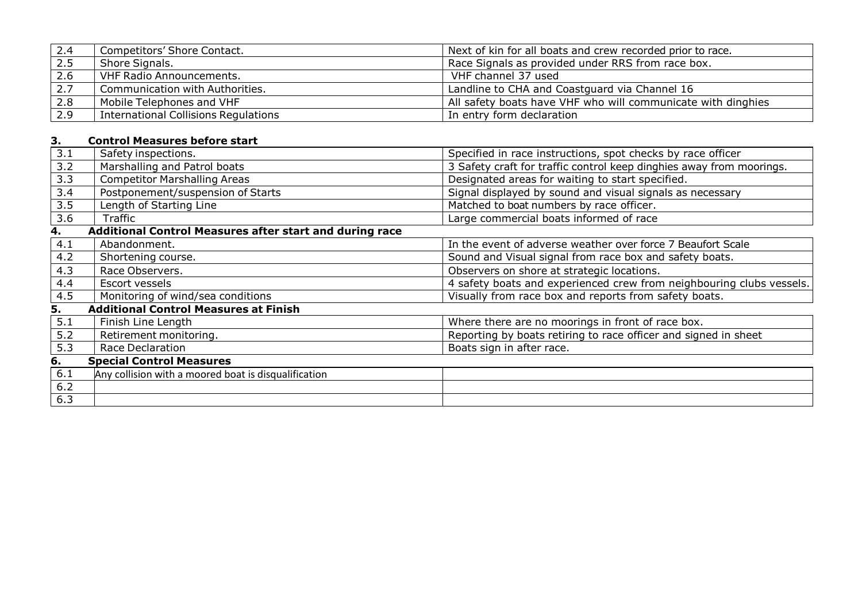| 2.4 | Competitors' Shore Contact.                 | Next of kin for all boats and crew recorded prior to race.   |
|-----|---------------------------------------------|--------------------------------------------------------------|
| 2.5 | Shore Signals.                              | Race Signals as provided under RRS from race box.            |
| 2.6 | <b>VHF Radio Announcements.</b>             | VHF channel 37 used                                          |
| 2.7 | Communication with Authorities.             | Landline to CHA and Coastguard via Channel 16                |
| 2.8 | Mobile Telephones and VHF                   | All safety boats have VHF who will communicate with dinghies |
| 2.9 | <b>International Collisions Regulations</b> | In entry form declaration                                    |

# **3. Control Measures before start**

| 3.1 | Safety inspections.                                     | Specified in race instructions, spot checks by race officer          |
|-----|---------------------------------------------------------|----------------------------------------------------------------------|
| 3.2 | Marshalling and Patrol boats                            | 3 Safety craft for traffic control keep dinghies away from moorings. |
| 3.3 | <b>Competitor Marshalling Areas</b>                     | Designated areas for waiting to start specified.                     |
| 3.4 | Postponement/suspension of Starts                       | Signal displayed by sound and visual signals as necessary            |
| 3.5 | Length of Starting Line                                 | Matched to boat numbers by race officer.                             |
| 3.6 | Traffic                                                 | Large commercial boats informed of race                              |
| 4.  | Additional Control Measures after start and during race |                                                                      |
| 4.1 | Abandonment.                                            | In the event of adverse weather over force 7 Beaufort Scale          |
| 4.2 | Shortening course.                                      | Sound and Visual signal from race box and safety boats.              |
| 4.3 | Race Observers.                                         | Observers on shore at strategic locations.                           |
| 4.4 | Escort vessels                                          | 4 safety boats and experienced crew from neighbouring clubs vessels. |
| 4.5 | Monitoring of wind/sea conditions                       | Visually from race box and reports from safety boats.                |
| 5.  | <b>Additional Control Measures at Finish</b>            |                                                                      |
| 5.1 | Finish Line Length                                      | Where there are no moorings in front of race box.                    |
| 5.2 | Retirement monitoring.                                  | Reporting by boats retiring to race officer and signed in sheet      |
| 5.3 | <b>Race Declaration</b>                                 | Boats sign in after race.                                            |
| 6.  | <b>Special Control Measures</b>                         |                                                                      |
| 6.1 | Any collision with a moored boat is disqualification    |                                                                      |
| 6.2 |                                                         |                                                                      |
| 6.3 |                                                         |                                                                      |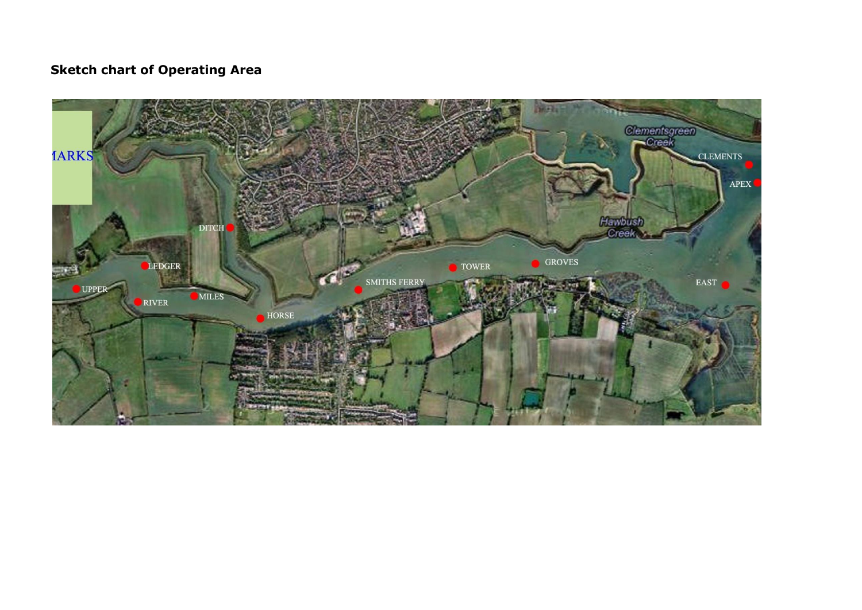# **Sketch chart of Operating Area**

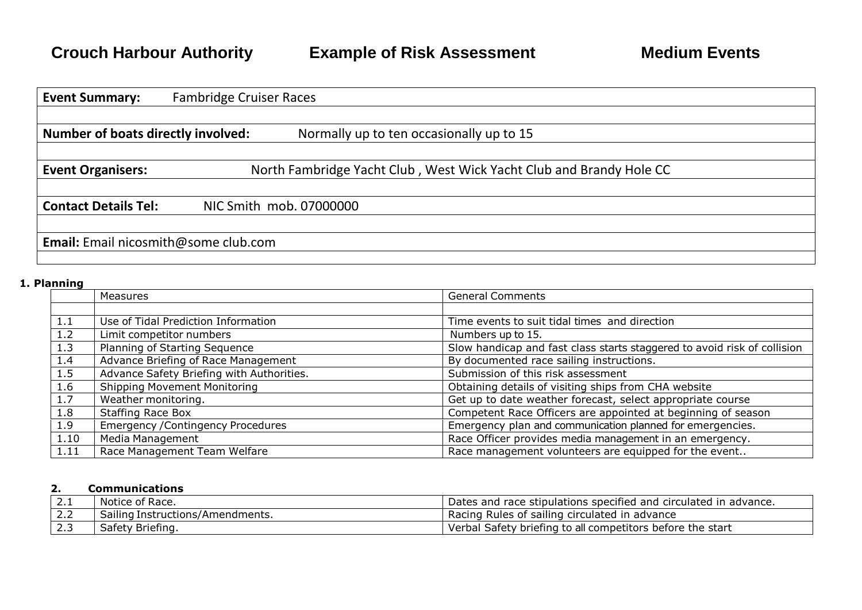| <b>Event Summary:</b>                       | <b>Fambridge Cruiser Races</b> |                                                                     |
|---------------------------------------------|--------------------------------|---------------------------------------------------------------------|
|                                             |                                |                                                                     |
| <b>Number of boats directly involved:</b>   |                                | Normally up to ten occasionally up to 15                            |
|                                             |                                |                                                                     |
| <b>Event Organisers:</b>                    |                                | North Fambridge Yacht Club, West Wick Yacht Club and Brandy Hole CC |
|                                             |                                |                                                                     |
| <b>Contact Details Tel:</b>                 |                                | NIC Smith mob. 07000000                                             |
|                                             |                                |                                                                     |
| <b>Email:</b> Email nicosmith@some club.com |                                |                                                                     |
|                                             |                                |                                                                     |

#### **1. Planning**

|      | Measures                                  | <b>General Comments</b>                                                  |
|------|-------------------------------------------|--------------------------------------------------------------------------|
|      |                                           |                                                                          |
| 1.1  | Use of Tidal Prediction Information       | Time events to suit tidal times and direction                            |
| 1.2  | Limit competitor numbers                  | Numbers up to 15.                                                        |
| 1.3  | Planning of Starting Sequence             | Slow handicap and fast class starts staggered to avoid risk of collision |
| 1.4  | Advance Briefing of Race Management       | By documented race sailing instructions.                                 |
| 1.5  | Advance Safety Briefing with Authorities. | Submission of this risk assessment                                       |
| 1.6  | <b>Shipping Movement Monitoring</b>       | Obtaining details of visiting ships from CHA website                     |
| 1.7  | Weather monitoring.                       | Get up to date weather forecast, select appropriate course               |
| 1.8  | <b>Staffing Race Box</b>                  | Competent Race Officers are appointed at beginning of season             |
| 1.9  | <b>Emergency / Contingency Procedures</b> | Emergency plan and communication planned for emergencies.                |
| 1.10 | Media Management                          | Race Officer provides media management in an emergency.                  |
| 1.11 | Race Management Team Welfare              | Race management volunteers are equipped for the event                    |

#### **2. Communications**

| .            | Notice of Race.                  | Dates and race stipulations specified and circulated in advance. |
|--------------|----------------------------------|------------------------------------------------------------------|
| 2.2          | Sailing Instructions/Amendments. | Rules of sailing circulated in advance<br>Racing                 |
| ר ה<br>ب . ک | Safety Briefing.                 | Verbal Safety briefing to all competitors before the start       |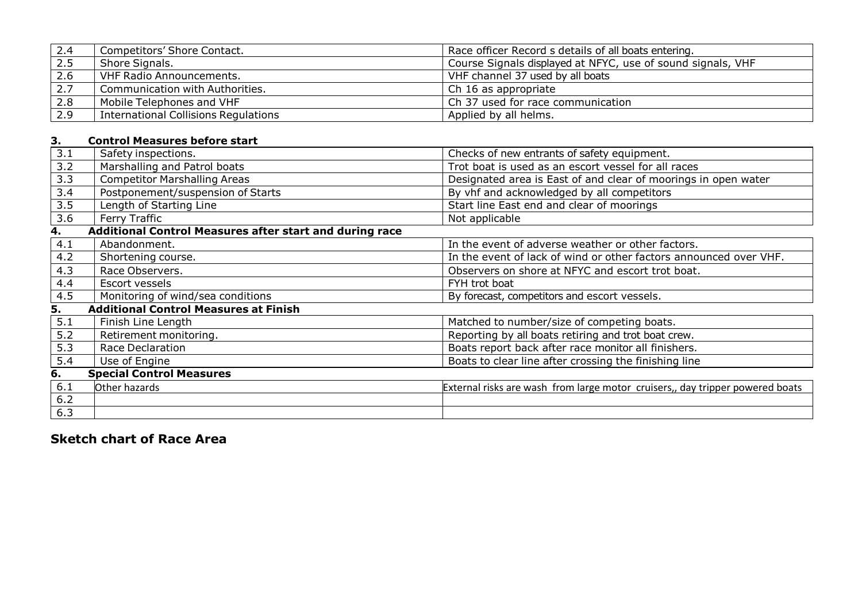| 2.4 | Competitors' Shore Contact.                 | Race officer Record s details of all boats entering.        |
|-----|---------------------------------------------|-------------------------------------------------------------|
| 2.5 | Shore Signals.                              | Course Signals displayed at NFYC, use of sound signals, VHF |
| 2.6 | VHF Radio Announcements.                    | VHF channel 37 used by all boats                            |
| 2.7 | Communication with Authorities.             | Ch 16 as appropriate                                        |
| 2.8 | Mobile Telephones and VHF                   | Ch 37 used for race communication                           |
| 2.9 | <b>International Collisions Regulations</b> | Applied by all helms.                                       |

# **3. Control Measures before start**

| 3.1              | Safety inspections.                                     | Checks of new entrants of safety equipment.                                   |
|------------------|---------------------------------------------------------|-------------------------------------------------------------------------------|
| 3.2              | Marshalling and Patrol boats                            | Trot boat is used as an escort vessel for all races                           |
| $\overline{3.3}$ | <b>Competitor Marshalling Areas</b>                     | Designated area is East of and clear of moorings in open water                |
| 3.4              | Postponement/suspension of Starts                       | By vhf and acknowledged by all competitors                                    |
| 3.5              | Length of Starting Line                                 | Start line East end and clear of moorings                                     |
| 3.6              | Ferry Traffic                                           | Not applicable                                                                |
| 4.               | Additional Control Measures after start and during race |                                                                               |
| 4.1              | Abandonment.                                            | In the event of adverse weather or other factors.                             |
| 4.2              | Shortening course.                                      | In the event of lack of wind or other factors announced over VHF.             |
| 4.3              | Race Observers.                                         | Observers on shore at NFYC and escort trot boat.                              |
| 4.4              | Escort vessels                                          | FYH trot boat                                                                 |
| 4.5              | Monitoring of wind/sea conditions                       | By forecast, competitors and escort vessels.                                  |
| 5.               | <b>Additional Control Measures at Finish</b>            |                                                                               |
| 5.1              | Finish Line Length                                      | Matched to number/size of competing boats.                                    |
| 5.2              | Retirement monitoring.                                  | Reporting by all boats retiring and trot boat crew.                           |
| 5.3              | <b>Race Declaration</b>                                 | Boats report back after race monitor all finishers.                           |
| 5.4              | Use of Engine                                           | Boats to clear line after crossing the finishing line                         |
| 6.               | <b>Special Control Measures</b>                         |                                                                               |
| 6.1              | Other hazards                                           | External risks are wash from large motor cruisers,, day tripper powered boats |
| $6.2$            |                                                         |                                                                               |
| 6.3              |                                                         |                                                                               |
|                  |                                                         |                                                                               |

# **Sketch chart of Race Area**